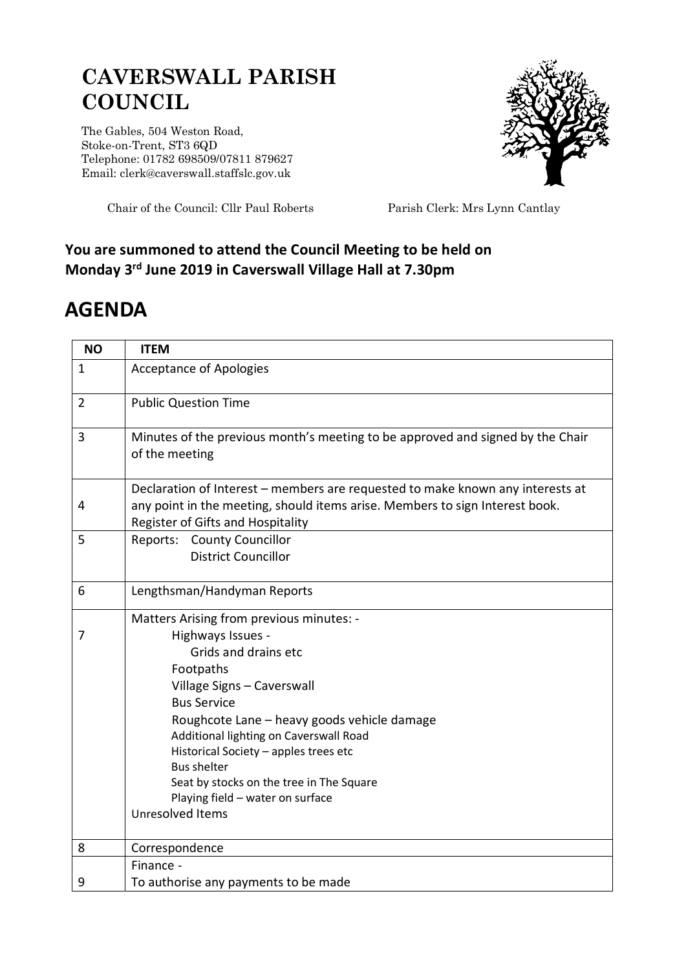## **CAVERSWALL PARISH COUNCIL**

The Gables, 504 Weston Road, Stoke-on-Trent, ST3 6QD Telephone: 01782 698509/07811 879627 Email: clerk@caverswall.staffslc.gov.uk



Chair of the Council: Cllr Paul Roberts Parish Clerk: Mrs Lynn Cantlay

## **You are summoned to attend the Council Meeting to be held on Monday 3 rd June 2019 in Caverswall Village Hall at 7.30pm**

## **AGENDA**

| <b>NO</b>      | <b>ITEM</b>                                                                                                                                                                                         |
|----------------|-----------------------------------------------------------------------------------------------------------------------------------------------------------------------------------------------------|
| $\mathbf{1}$   | <b>Acceptance of Apologies</b>                                                                                                                                                                      |
| $\overline{2}$ | <b>Public Question Time</b>                                                                                                                                                                         |
| 3              | Minutes of the previous month's meeting to be approved and signed by the Chair<br>of the meeting                                                                                                    |
| 4              | Declaration of Interest - members are requested to make known any interests at<br>any point in the meeting, should items arise. Members to sign Interest book.<br>Register of Gifts and Hospitality |
| 5              | Reports: County Councillor<br><b>District Councillor</b>                                                                                                                                            |
| 6              | Lengthsman/Handyman Reports                                                                                                                                                                         |
|                | Matters Arising from previous minutes: -                                                                                                                                                            |
| 7              | Highways Issues -                                                                                                                                                                                   |
|                | Grids and drains etc                                                                                                                                                                                |
|                | Footpaths                                                                                                                                                                                           |
|                | Village Signs - Caverswall                                                                                                                                                                          |
|                | <b>Bus Service</b>                                                                                                                                                                                  |
|                | Roughcote Lane - heavy goods vehicle damage                                                                                                                                                         |
|                | Additional lighting on Caverswall Road                                                                                                                                                              |
|                | Historical Society - apples trees etc<br><b>Bus shelter</b>                                                                                                                                         |
|                | Seat by stocks on the tree in The Square                                                                                                                                                            |
|                | Playing field - water on surface                                                                                                                                                                    |
|                | Unresolved Items                                                                                                                                                                                    |
| 8              | Correspondence                                                                                                                                                                                      |
|                | Finance -                                                                                                                                                                                           |
| 9              | To authorise any payments to be made                                                                                                                                                                |